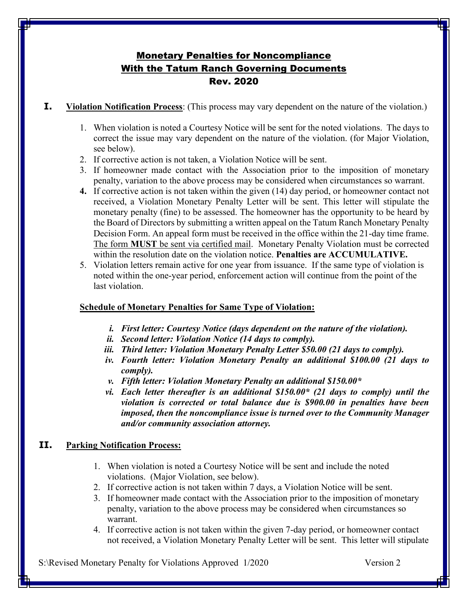# Monetary Penalties for Noncompliance With the Tatum Ranch Governing Documents Rev. 2020

**I. Violation Notification Process**: (This process may vary dependent on the nature of the violation.)

- 1. When violation is noted a Courtesy Notice will be sent for the noted violations. The days to correct the issue may vary dependent on the nature of the violation. (for Major Violation, see below).
- 2. If corrective action is not taken, a Violation Notice will be sent.
- 3. If homeowner made contact with the Association prior to the imposition of monetary penalty, variation to the above process may be considered when circumstances so warrant.
- **4.** If corrective action is not taken within the given (14) day period, or homeowner contact not received, a Violation Monetary Penalty Letter will be sent. This letter will stipulate the monetary penalty (fine) to be assessed. The homeowner has the opportunity to be heard by the Board of Directors by submitting a written appeal on the Tatum Ranch Monetary Penalty Decision Form. An appeal form must be received in the office within the 21-day time frame. The form **MUST** be sent via certified mail. Monetary Penalty Violation must be corrected within the resolution date on the violation notice. **Penalties are ACCUMULATIVE.**
- 5. Violation letters remain active for one year from issuance. If the same type of violation is noted within the one-year period, enforcement action will continue from the point of the last violation.

#### **Schedule of Monetary Penalties for Same Type of Violation:**

- *i. First letter: Courtesy Notice (days dependent on the nature of the violation).*
- *ii. Second letter: Violation Notice (14 days to comply).*
- *iii. Third letter: Violation Monetary Penalty Letter \$50.00 (21 days to comply).*
- *iv. Fourth letter: Violation Monetary Penalty an additional \$100.00 (21 days to comply).*
- *v. Fifth letter: Violation Monetary Penalty an additional \$150.00\**
- *vi. Each letter thereafter is an additional \$150.00\* (21 days to comply) until the violation is corrected or total balance due is \$900.00 in penalties have been imposed, then the noncompliance issue is turned over to the Community Manager and/or community association attorney.*

### **II. Parking Notification Process:**

- 1. When violation is noted a Courtesy Notice will be sent and include the noted violations. (Major Violation, see below).
- 2. If corrective action is not taken within 7 days, a Violation Notice will be sent.
- 3. If homeowner made contact with the Association prior to the imposition of monetary penalty, variation to the above process may be considered when circumstances so warrant.
- 4. If corrective action is not taken within the given 7-day period, or homeowner contact not received, a Violation Monetary Penalty Letter will be sent. This letter will stipulate

S:\Revised Monetary Penalty for Violations Approved 1/2020 Version 2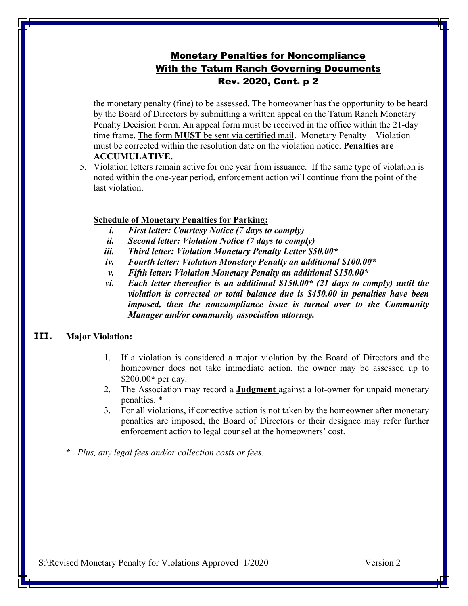## Monetary Penalties for Noncompliance With the Tatum Ranch Governing Documents Rev. 2020, Cont. p 2

the monetary penalty (fine) to be assessed. The homeowner has the opportunity to be heard by the Board of Directors by submitting a written appeal on the Tatum Ranch Monetary Penalty Decision Form. An appeal form must be received in the office within the 21-day time frame. The form **MUST** be sent via certified mail. Monetary Penalty Violation must be corrected within the resolution date on the violation notice. **Penalties are ACCUMULATIVE.** 

5. Violation letters remain active for one year from issuance. If the same type of violation is noted within the one-year period, enforcement action will continue from the point of the last violation.

#### **Schedule of Monetary Penalties for Parking:**

- *i. First letter: Courtesy Notice (7 days to comply)*
- *ii. Second letter: Violation Notice (7 days to comply)*
- *iii. Third letter: Violation Monetary Penalty Letter \$50.00\**
- *iv. Fourth letter: Violation Monetary Penalty an additional \$100.00\**
- *v. Fifth letter: Violation Monetary Penalty an additional \$150.00\**
- *vi. Each letter thereafter is an additional \$150.00\* (21 days to comply) until the violation is corrected or total balance due is \$450.00 in penalties have been imposed, then the noncompliance issue is turned over to the Community Manager and/or community association attorney.*

#### **III. Major Violation:**

- 1. If a violation is considered a major violation by the Board of Directors and the homeowner does not take immediate action, the owner may be assessed up to \$200.00**\*** per day.
- 2. The Association may record a **Judgment** against a lot-owner for unpaid monetary penalties. \*
- 3. For all violations, if corrective action is not taken by the homeowner after monetary penalties are imposed, the Board of Directors or their designee may refer further enforcement action to legal counsel at the homeowners' cost.
- **\*** *Plus, any legal fees and/or collection costs or fees.*

S:\Revised Monetary Penalty for Violations Approved 1/2020 Version 2